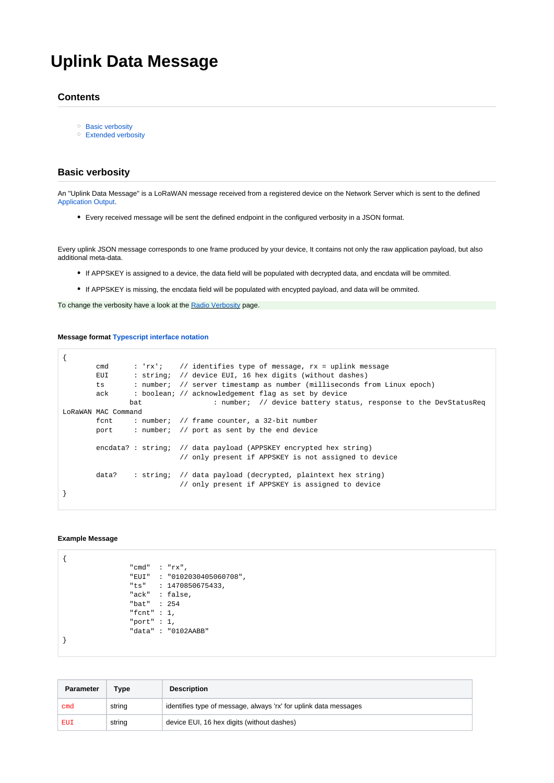# **Uplink Data Message**

# **Contents**

- <sup>o</sup> [Basic verbosity](#page-0-0)
- [Extended verbosity](#page-1-0)

## <span id="page-0-0"></span>**Basic verbosity**

An "Uplink Data Message" is a LoRaWAN message received from a registered device on the Network Server which is sent to the defined [Application Output](https://docs.loriot.io/display/LNS/Application+Outputs).

Every received message will be sent the defined endpoint in the configured verbosity in a JSON format.

Every uplink JSON message corresponds to one frame produced by your device, It contains not only the raw application payload, but also additional meta-data.

- If APPSKEY is assigned to a device, the data field will be populated with decrypted data, and encdata will be ommited.
- If APPSKEY is missing, the encdata field will be populated with encypted payload, and data will be ommited.

To change the verbosity have a look at the [Radio Verbosity](https://docs.loriot.io/display/LNS/Radio+Verbosity) page.

#### **Message format [Typescript interface notation](https://www.typescriptlang.org/docs/handbook/interfaces.html)**

```
{
       cmd : 'rx'; // identifies type of message, rx = uplink message
        EUI : string; // device EUI, 16 hex digits (without dashes)
       ts : number; // server timestamp as number (milliseconds from Linux epoch)
       ack : boolean; // acknowledgement flag as set by device
              bat : number; // device battery status, response to the DevStatusReq
LoRaWAN MAC Command
        fcnt : number; // frame counter, a 32-bit number
       port : number; // port as sent by the end device
       encdata? : string; // data payload (APPSKEY encrypted hex string)
                           // only present if APPSKEY is not assigned to device
        data? : string; // data payload (decrypted, plaintext hex string)
                           // only present if APPSKEY is assigned to device
}
```
#### **Example Message**

```
{
                  "cmd" : "rx",
                 "EUI" : "0102030405060708",
                  "ts" : 1470850675433,
                  "ack" : false,
                  "bat" : 254
                 "fcnt" : 1,
                  "port" : 1,
                  "data" : "0102AABB"
}
```

| <b>Parameter</b> | Type   | <b>Description</b>                                               |
|------------------|--------|------------------------------------------------------------------|
| cmd              | string | identifies type of message, always 'rx' for uplink data messages |
| EUI              | string | device EUI, 16 hex digits (without dashes)                       |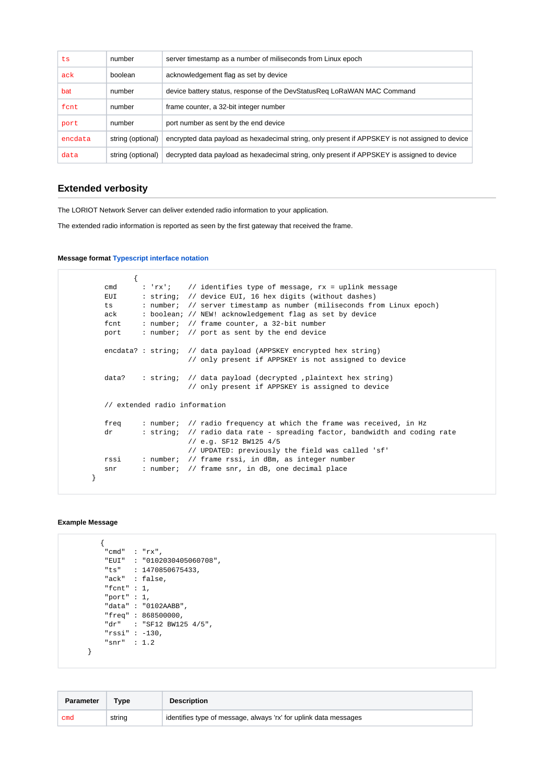| ts      | number            | server timestamp as a number of miliseconds from Linux epoch                                    |
|---------|-------------------|-------------------------------------------------------------------------------------------------|
| ack     | boolean           | acknowledgement flag as set by device                                                           |
| bat     | number            | device battery status, response of the DevStatusReg LoRaWAN MAC Command                         |
| fcnt    | number            | frame counter, a 32-bit integer number                                                          |
| port    | number            | port number as sent by the end device                                                           |
| encdata | string (optional) | encrypted data payload as hexadecimal string, only present if APPSKEY is not assigned to device |
| data    | string (optional) | decrypted data payload as hexadecimal string, only present if APPSKEY is assigned to device     |

# <span id="page-1-0"></span>**Extended verbosity**

The LORIOT Network Server can deliver extended radio information to your application.

The extended radio information is reported as seen by the first gateway that received the frame.

**Message format [Typescript interface notation](https://www.typescriptlang.org/docs/handbook/interfaces.html)**

```
\left\{ \begin{array}{c} \end{array} \right\}cmd : 'rx'; // identifies type of message, rx = uplink message
         EUI : string; // device EUI, 16 hex digits (without dashes)
          ts : number; // server timestamp as number (miliseconds from Linux epoch)
         ack : boolean; // NEW! acknowledgement flag as set by device
          fcnt : number; // frame counter, a 32-bit number
         port : number; // port as sent by the end device
         encdata? : string; // data payload (APPSKEY encrypted hex string)
                             // only present if APPSKEY is not assigned to device
         data? : string; // data payload (decrypted , plaintext hex string)
                             // only present if APPSKEY is assigned to device
          // extended radio information
          freq : number; // radio frequency at which the frame was received, in Hz
         dr : string; // radio data rate - spreading factor, bandwidth and coding rate
                             // e.g. SF12 BW125 4/5
                             // UPDATED: previously the field was called 'sf'
 rssi : number; // frame rssi, in dBm, as integer number
 snr : number; // frame snr, in dB, one decimal place
       }
```
### **Example Message**

```
 {
         "cmd" : "rx",
         "EUI" : "0102030405060708",
 "ts" : 1470850675433,
 "ack" : false,
         "fcnt" : 1,
         "port" : 1,
         "data" : "0102AABB",
 "freq" : 868500000,
 "dr" : "SF12 BW125 4/5",
         "rssi" : -130,
         "snr" : 1.2
      }
```

| <b>Parameter</b> | Type   | <b>Description</b>                                               |
|------------------|--------|------------------------------------------------------------------|
| cmd              | string | identifies type of message, always 'rx' for uplink data messages |